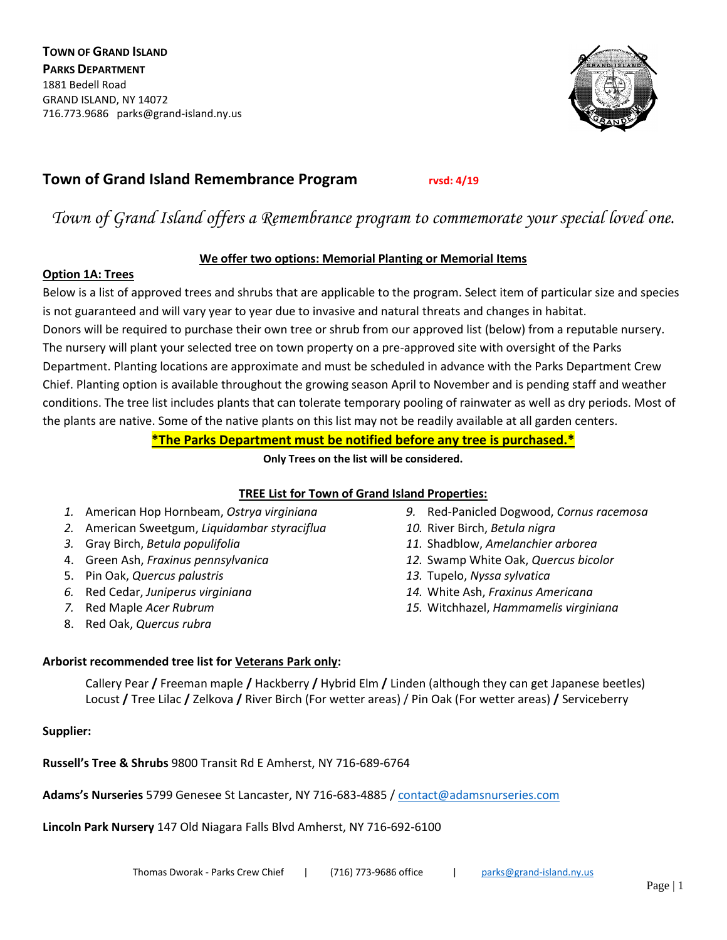**TOWN OF GRAND ISLAND PARKS DEPARTMENT** 1881 Bedell Road GRAND ISLAND, NY 14072 716.773.9686 parks@grand-island.ny.us



# **Town of Grand Island Remembrance Program** *rvsd: 4/19*

# *Town of Grand Island offers a Remembrance program to commemorate your special loved one.*

## **We offer two options: Memorial Planting or Memorial Items**

## **Option 1A: Trees**

Below is a list of approved trees and shrubs that are applicable to the program. Select item of particular size and species is not guaranteed and will vary year to year due to invasive and natural threats and changes in habitat. Donors will be required to purchase their own tree or shrub from our approved list (below) from a reputable nursery. The nursery will plant your selected tree on town property on a pre-approved site with oversight of the Parks Department. Planting locations are approximate and must be scheduled in advance with the Parks Department Crew Chief. Planting option is available throughout the growing season April to November and is pending staff and weather conditions. The tree list includes plants that can tolerate temporary pooling of rainwater as well as dry periods. Most of the plants are native. Some of the native plants on this list may not be readily available at all garden centers.

## **\*The Parks Department must be notified before any tree is purchased.\***

**Only Trees on the list will be considered.** 

## **TREE List for Town of Grand Island Properties:**

- *1.* American Hop Hornbeam, *Ostrya virginiana*
- *2.* American Sweetgum, *Liquidambar styraciflua*
- *3.* Gray Birch, *Betula populifolia*
- 4. Green Ash, *Fraxinus pennsylvanica*
- 5. Pin Oak, *Quercus palustris*
- *6.* Red Cedar, *Juniperus virginiana*
- *7.* Red Maple *Acer Rubrum*
- 8. Red Oak, *Quercus rubra*
- *9.* Red-Panicled Dogwood, *Cornus racemosa*
- *10.* River Birch, *Betula nigra*
- *11.* Shadblow, *Amelanchier arborea*
- *12.* Swamp White Oak, *Quercus bicolor*
- *13.* Tupelo, *Nyssa sylvatica*
- *14.* White Ash, *Fraxinus Americana*
- *15.* Witchhazel, *Hammamelis virginiana*

## **Arborist recommended tree list for Veterans Park only:**

Callery Pear **/** Freeman maple **/** Hackberry **/** Hybrid Elm **/** Linden (although they can get Japanese beetles) Locust **/** Tree Lilac **/** Zelkova **/** River Birch (For wetter areas) / Pin Oak (For wetter areas) **/** Serviceberry

## **Supplier:**

**Russell's Tree & Shrubs** 9800 Transit Rd E Amherst, NY 716-689-6764

**Adams's Nurseries** 5799 Genesee St Lancaster, NY 716-683-4885 / [contact@adamsnurseries.com](mailto:contact@adamsnurseries.com)

**Lincoln Park Nursery** 147 Old Niagara Falls Blvd Amherst, NY 716-692-6100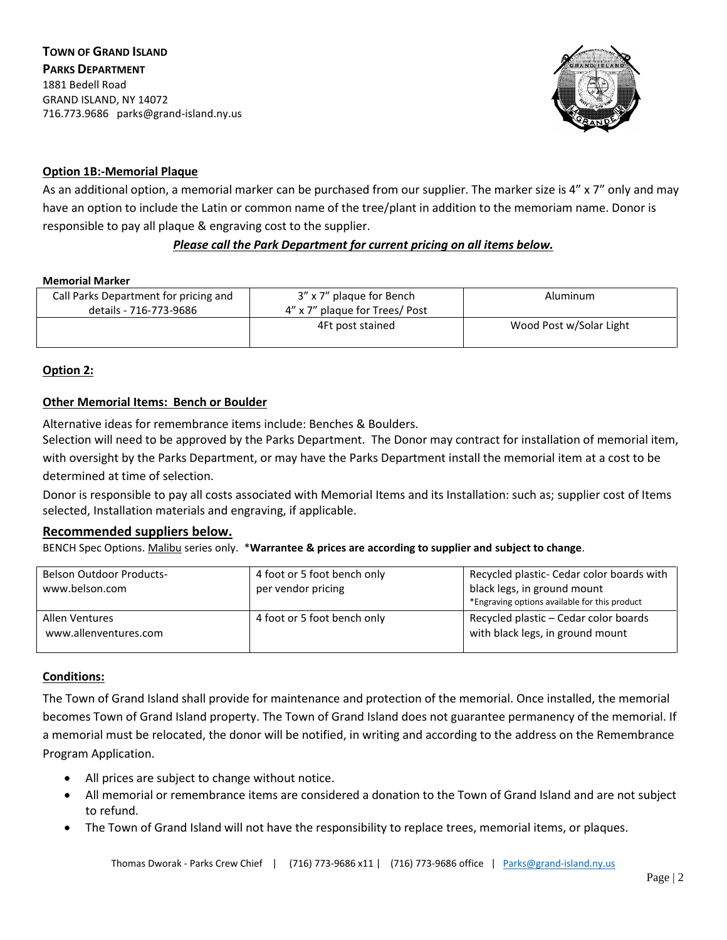

#### **Option 1B:-Memorial Plaque**

As an additional option, a memorial marker can be purchased from our supplier. The marker size is 4" x 7" only and may have an option to include the Latin or common name of the tree/plant in addition to the memoriam name. Donor is responsible to pay all plaque & engraving cost to the supplier.

#### *Please call the Park Department for current pricing on all items below.*

#### **Memorial Marker**

| Call Parks Department for pricing and | 3" x 7" plaque for Bench       | Aluminum                |
|---------------------------------------|--------------------------------|-------------------------|
| details - 716-773-9686                | 4" x 7" plaque for Trees/ Post |                         |
|                                       | 4Ft post stained               | Wood Post w/Solar Light |
|                                       |                                |                         |

#### **Option 2:**

#### **Other Memorial Items: Bench or Boulder**

Alternative ideas for remembrance items include: Benches & Boulders.

Selection will need to be approved by the Parks Department. The Donor may contract for installation of memorial item, with oversight by the Parks Department, or may have the Parks Department install the memorial item at a cost to be determined at time of selection.

Donor is responsible to pay all costs associated with Memorial Items and its Installation: such as; supplier cost of Items selected, Installation materials and engraving, if applicable.

#### **Recommended suppliers below.**

BENCH Spec Options. Malibu series only. \***Warrantee & prices are according to supplier and subject to change**.

| <b>Belson Outdoor Products-</b><br>www.belson.com | 4 foot or 5 foot bench only<br>per vendor pricing | Recycled plastic- Cedar color boards with<br>black legs, in ground mount<br>*Engraving options available for this product |
|---------------------------------------------------|---------------------------------------------------|---------------------------------------------------------------------------------------------------------------------------|
| Allen Ventures<br>www.allenventures.com           | 4 foot or 5 foot bench only                       | Recycled plastic - Cedar color boards<br>with black legs, in ground mount                                                 |

#### **Conditions:**

The Town of Grand Island shall provide for maintenance and protection of the memorial. Once installed, the memorial becomes Town of Grand Island property. The Town of Grand Island does not guarantee permanency of the memorial. If a memorial must be relocated, the donor will be notified, in writing and according to the address on the Remembrance Program Application.

- All prices are subject to change without notice.
- All memorial or remembrance items are considered a donation to the Town of Grand Island and are not subject to refund.
- The Town of Grand Island will not have the responsibility to replace trees, memorial items, or plaques.